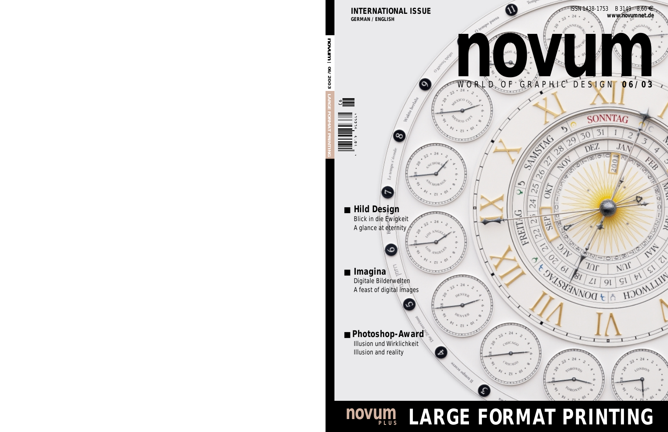

## **novum
LARGE FORMAT PRINTING**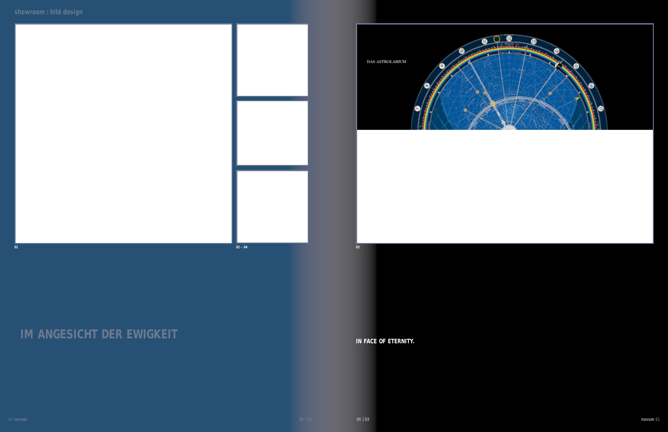## **IM ANGESICHT DER EWIGKEIT**

Es galt, die Harmonien des Weltalls einzufangen. DafŸr gestaltete die Agentur Hild Design das faszinierende Wunderwerk **IN FACE OF ETERNITY**. The brief was to capture the harmony of the universe and the agency Hild Design